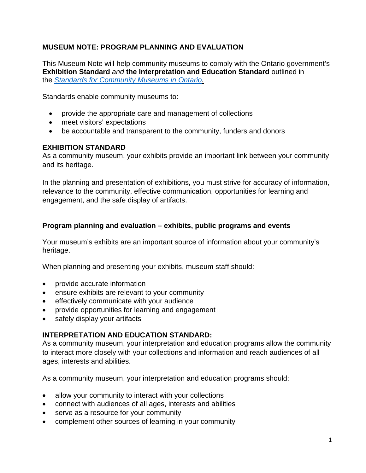## **MUSEUM NOTE: PROGRAM PLANNING AND EVALUATION**

This Museum Note will help community museums to comply with the Ontario government's **Exhibition Standard** *and* **the Interpretation and Education Standard** outlined in the *[Standards for Community Museums in Ontario.](http://www.mtc.gov.on.ca/en/museums/museums_standards.shtml)*

Standards enable community museums to:

- provide the appropriate care and management of collections
- meet visitors' expectations
- be accountable and transparent to the community, funders and donors

### **EXHIBITION STANDARD**

As a community museum, your exhibits provide an important link between your community and its heritage.

In the planning and presentation of exhibitions, you must strive for accuracy of information, relevance to the community, effective communication, opportunities for learning and engagement, and the safe display of artifacts.

#### **Program planning and evaluation – exhibits, public programs and events**

Your museum's exhibits are an important source of information about your community's heritage.

When planning and presenting your exhibits, museum staff should:

- provide accurate information
- ensure exhibits are relevant to your community
- effectively communicate with your audience
- provide opportunities for learning and engagement
- safely display your artifacts

### **INTERPRETATION AND EDUCATION STANDARD:**

As a community museum, your interpretation and education programs allow the community to interact more closely with your collections and information and reach audiences of all ages, interests and abilities.

As a community museum, your interpretation and education programs should:

- allow your community to interact with your collections
- connect with audiences of all ages, interests and abilities
- serve as a resource for your community
- complement other sources of learning in your community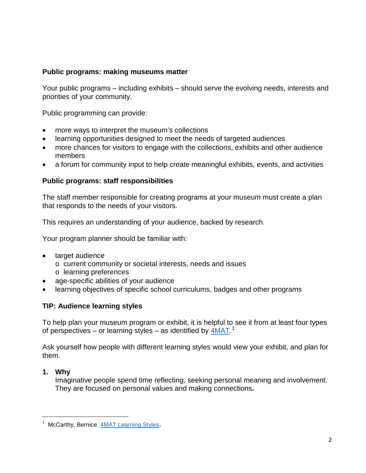#### **Public programs: making museums matter**

Your public programs – including exhibits – should serve the evolving needs, interests and priorities of your community.

Public programming can provide:

- more ways to interpret the museum's collections
- learning opportunities designed to meet the needs of targeted audiences
- more chances for visitors to engage with the collections, exhibits and other audience members
- a forum for community input to help create meaningful exhibits, events, and activities

#### **Public programs: staff responsibilities**

The staff member responsible for creating programs at your museum must create a plan that responds to the needs of your visitors.

This requires an understanding of your audience, backed by research.

Your program planner should be familiar with:

- target audience
	- o current community or societal interests, needs and issues
	- o learning preferences
- age-specific abilities of your audience
- learning objectives of specific school curriculums, badges and other programs

### **TIP: Audience learning styles**

To help plan your museum program or exhibit, it is helpful to see it from at least four types of perspectives – or learning styles – as identified by  $\underline{\mathsf{4MAT}}$ .<sup>[1](#page-1-0)</sup>

Ask yourself how people with different learning styles would view your exhibit, and plan for them.

### **1. Why**

l

Imaginative people spend time reflecting, seeking personal meaning and involvement. They are focused on personal values and making connections**.**

<span id="page-1-0"></span><sup>&</sup>lt;sup>1</sup> McCarthy, Bernice. [4MAT Learning Styles.](http://www.4mat.eu/method-learning-styles.aspx)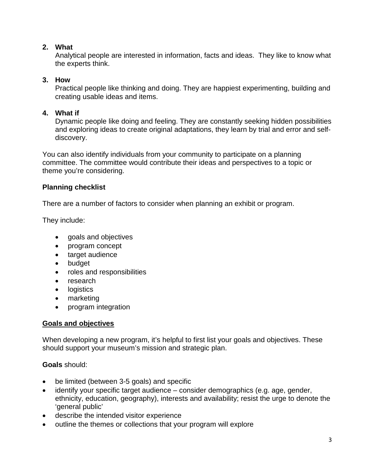### **2. What**

Analytical people are interested in information, facts and ideas. They like to know what the experts think.

## **3. How**

Practical people like thinking and doing. They are happiest experimenting, building and creating usable ideas and items.

### **4. What if**

Dynamic people like doing and feeling. They are constantly seeking hidden possibilities and exploring ideas to create original adaptations, they learn by trial and error and selfdiscovery.

You can also identify individuals from your community to participate on a planning committee. The committee would contribute their ideas and perspectives to a topic or theme you're considering.

# **Planning checklist**

There are a number of factors to consider when planning an exhibit or program.

They include:

- goals and objectives
- program concept
- target audience
- budget
- roles and responsibilities
- research
- logistics
- marketing
- program integration

# **Goals and objectives**

When developing a new program, it's helpful to first list your goals and objectives. These should support your museum's mission and strategic plan.

# **Goals** should:

- be limited (between 3-5 goals) and specific
- identify your specific target audience consider demographics (e.g. age, gender, ethnicity, education, geography), interests and availability; resist the urge to denote the 'general public'
- describe the intended visitor experience
- outline the themes or collections that your program will explore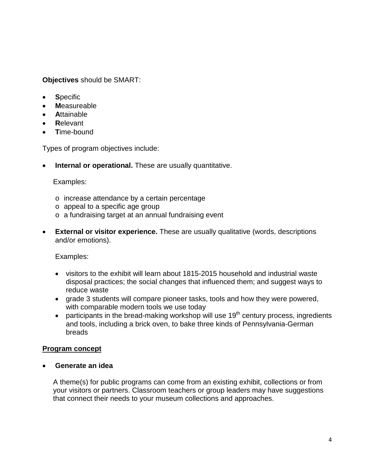**Objectives** should be SMART:

- **Specific**
- **M**easureable
- **A**ttainable
- **R**elevant
- **T**ime-bound

Types of program objectives include:

**Internal or operational.** These are usually quantitative.

### Examples:

- o increase attendance by a certain percentage
- o appeal to a specific age group
- o a fundraising target at an annual fundraising event
- **External or visitor experience.** These are usually qualitative (words, descriptions and/or emotions).

Examples:

- visitors to the exhibit will learn about 1815-2015 household and industrial waste disposal practices; the social changes that influenced them; and suggest ways to reduce waste
- grade 3 students will compare pioneer tasks, tools and how they were powered, with comparable modern tools we use today
- participants in the bread-making workshop will use  $19<sup>th</sup>$  century process, ingredients and tools, including a brick oven, to bake three kinds of Pennsylvania-German breads

# **Program concept**

### • **Generate an idea**

A theme(s) for public programs can come from an existing exhibit, collections or from your visitors or partners. Classroom teachers or group leaders may have suggestions that connect their needs to your museum collections and approaches.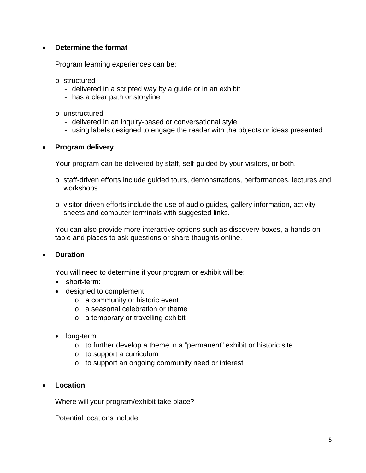#### • **Determine the format**

Program learning experiences can be:

- o structured
	- delivered in a scripted way by a quide or in an exhibit
	- has a clear path or storyline
- o unstructured
	- delivered in an inquiry-based or conversational style
	- using labels designed to engage the reader with the objects or ideas presented

#### • **Program delivery**

Your program can be delivered by staff, self-guided by your visitors, or both.

- o staff-driven efforts include guided tours, demonstrations, performances, lectures and workshops
- o visitor-driven efforts include the use of audio guides, gallery information, activity sheets and computer terminals with suggested links.

You can also provide more interactive options such as discovery boxes, a hands-on table and places to ask questions or share thoughts online.

#### • **Duration**

You will need to determine if your program or exhibit will be:

- short-term:
- designed to complement
	- o a community or historic event
	- o a seasonal celebration or theme
	- o a temporary or travelling exhibit
- long-term:
	- o to further develop a theme in a "permanent" exhibit or historic site
	- o to support a curriculum
	- o to support an ongoing community need or interest

#### • **Location**

Where will your program/exhibit take place?

Potential locations include: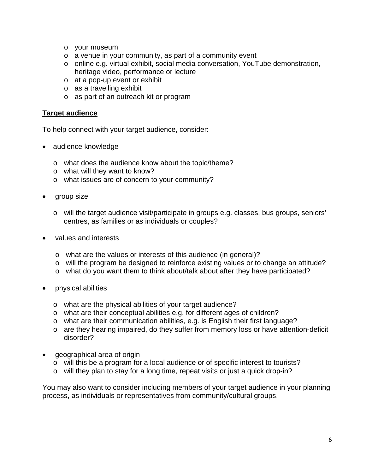- o your museum
- o a venue in your community, as part of a community event
- o online e.g. virtual exhibit, social media conversation, YouTube demonstration, heritage video, performance or lecture
- o at a pop-up event or exhibit
- o as a travelling exhibit
- o as part of an outreach kit or program

#### **Target audience**

To help connect with your target audience, consider:

- audience knowledge
	- o what does the audience know about the topic/theme?
	- o what will they want to know?
	- o what issues are of concern to your community?
- group size
	- o will the target audience visit/participate in groups e.g. classes, bus groups, seniors' centres, as families or as individuals or couples?
- values and interests
	- o what are the values or interests of this audience (in general)?
	- o will the program be designed to reinforce existing values or to change an attitude?
	- o what do you want them to think about/talk about after they have participated?
- physical abilities
	- o what are the physical abilities of your target audience?
	- o what are their conceptual abilities e.g. for different ages of children?
	- o what are their communication abilities, e.g. is English their first language?
	- o are they hearing impaired, do they suffer from memory loss or have attention-deficit disorder?
- geographical area of origin
	- o will this be a program for a local audience or of specific interest to tourists?
	- o will they plan to stay for a long time, repeat visits or just a quick drop-in?

You may also want to consider including members of your target audience in your planning process, as individuals or representatives from community/cultural groups.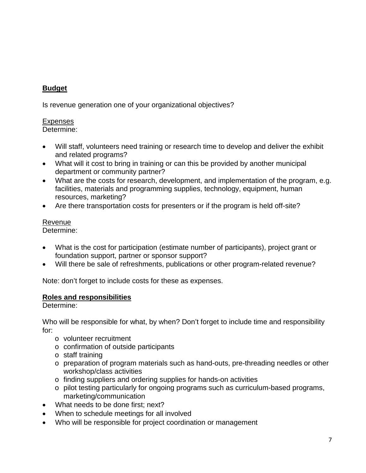# **Budget**

Is revenue generation one of your organizational objectives?

### Expenses

Determine:

- Will staff, volunteers need training or research time to develop and deliver the exhibit and related programs?
- What will it cost to bring in training or can this be provided by another municipal department or community partner?
- What are the costs for research, development, and implementation of the program, e.g. facilities, materials and programming supplies, technology, equipment, human resources, marketing?
- Are there transportation costs for presenters or if the program is held off-site?

# Revenue

Determine:

- What is the cost for participation (estimate number of participants), project grant or foundation support, partner or sponsor support?
- Will there be sale of refreshments, publications or other program-related revenue?

Note: don't forget to include costs for these as expenses.

# **Roles and responsibilities**

Determine:

Who will be responsible for what, by when? Don't forget to include time and responsibility for:

- o volunteer recruitment
- o confirmation of outside participants
- o staff training
- o preparation of program materials such as hand-outs, pre-threading needles or other workshop/class activities
- o finding suppliers and ordering supplies for hands-on activities
- o pilot testing particularly for ongoing programs such as curriculum-based programs, marketing/communication
- What needs to be done first: next?
- When to schedule meetings for all involved
- Who will be responsible for project coordination or management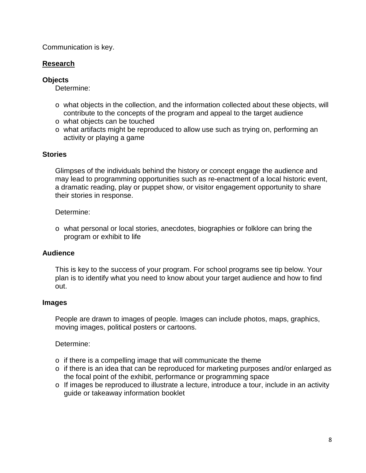Communication is key.

### **Research**

#### **Objects**

Determine:

- o what objects in the collection, and the information collected about these objects, will contribute to the concepts of the program and appeal to the target audience
- o what objects can be touched
- o what artifacts might be reproduced to allow use such as trying on, performing an activity or playing a game

#### **Stories**

Glimpses of the individuals behind the history or concept engage the audience and may lead to programming opportunities such as re-enactment of a local historic event, a dramatic reading, play or puppet show, or visitor engagement opportunity to share their stories in response.

#### Determine:

o what personal or local stories, anecdotes, biographies or folklore can bring the program or exhibit to life

#### **Audience**

This is key to the success of your program. For school programs see tip below. Your plan is to identify what you need to know about your target audience and how to find out.

#### **Images**

People are drawn to images of people. Images can include photos, maps, graphics, moving images, political posters or cartoons.

#### Determine:

- o if there is a compelling image that will communicate the theme
- o if there is an idea that can be reproduced for marketing purposes and/or enlarged as the focal point of the exhibit, performance or programming space
- o If images be reproduced to illustrate a lecture, introduce a tour, include in an activity guide or takeaway information booklet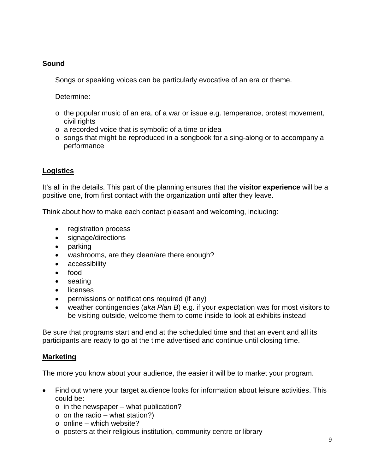### **Sound**

Songs or speaking voices can be particularly evocative of an era or theme.

Determine:

- $\circ$  the popular music of an era, of a war or issue e.g. temperance, protest movement, civil rights
- o a recorded voice that is symbolic of a time or idea
- o songs that might be reproduced in a songbook for a sing-along or to accompany a performance

# **Logistics**

It's all in the details. This part of the planning ensures that the **visitor experience** will be a positive one, from first contact with the organization until after they leave.

Think about how to make each contact pleasant and welcoming, including:

- registration process
- signage/directions
- parking
- washrooms, are they clean/are there enough?
- accessibility
- food
- seating
- licenses
- permissions or notifications required (if any)
- weather contingencies (*aka Plan B*) e.g. if your expectation was for most visitors to be visiting outside, welcome them to come inside to look at exhibits instead

Be sure that programs start and end at the scheduled time and that an event and all its participants are ready to go at the time advertised and continue until closing time.

# **Marketing**

The more you know about your audience, the easier it will be to market your program.

- Find out where your target audience looks for information about leisure activities. This could be:
	- $\circ$  in the newspaper what publication?
	- $\circ$  on the radio what station?)
	- $\circ$  online which website?
	- o posters at their religious institution, community centre or library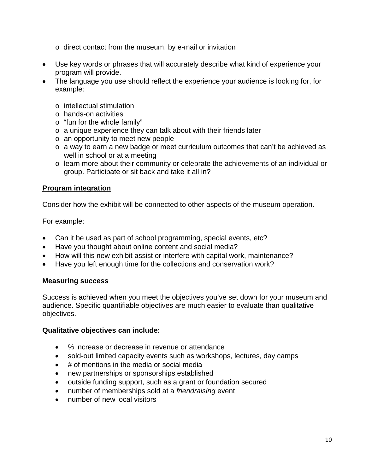- o direct contact from the museum, by e-mail or invitation
- Use key words or phrases that will accurately describe what kind of experience your program will provide.
- The language you use should reflect the experience your audience is looking for, for example:
	- o intellectual stimulation
	- o hands-on activities
	- o "fun for the whole family"
	- o a unique experience they can talk about with their friends later
	- o an opportunity to meet new people
	- o a way to earn a new badge or meet curriculum outcomes that can't be achieved as well in school or at a meeting
	- o learn more about their community or celebrate the achievements of an individual or group. Participate or sit back and take it all in?

#### **Program integration**

Consider how the exhibit will be connected to other aspects of the museum operation.

For example:

- Can it be used as part of school programming, special events, etc?
- Have you thought about online content and social media?
- How will this new exhibit assist or interfere with capital work, maintenance?
- Have you left enough time for the collections and conservation work?

#### **Measuring success**

Success is achieved when you meet the objectives you've set down for your museum and audience. Specific quantifiable objectives are much easier to evaluate than qualitative objectives.

#### **Qualitative objectives can include:**

- % increase or decrease in revenue or attendance
- sold-out limited capacity events such as workshops, lectures, day camps
- # of mentions in the media or social media
- new partnerships or sponsorships established
- outside funding support, such as a grant or foundation secured
- number of memberships sold at a *friendraising* event
- number of new local visitors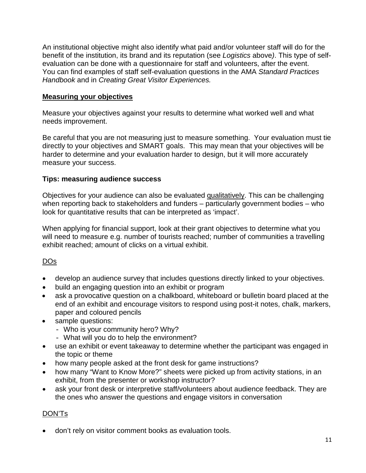An institutional objective might also identify what paid and/or volunteer staff will do for the benefit of the institution, its brand and its reputation (see *Logistics* above*)*. This type of selfevaluation can be done with a questionnaire for staff and volunteers, after the event. You can find examples of staff self-evaluation questions in the AMA *Standard Practices Handbook* and in *Creating Great Visitor Experiences.*

#### **Measuring your objectives**

Measure your objectives against your results to determine what worked well and what needs improvement.

Be careful that you are not measuring just to measure something. Your evaluation must tie directly to your objectives and SMART goals. This may mean that your objectives will be harder to determine and your evaluation harder to design, but it will more accurately measure your success.

#### **Tips: measuring audience success**

Objectives for your audience can also be evaluated qualitatively. This can be challenging when reporting back to stakeholders and funders – particularly government bodies – who look for quantitative results that can be interpreted as 'impact'.

When applying for financial support, look at their grant objectives to determine what you will need to measure e.g. number of tourists reached; number of communities a travelling exhibit reached; amount of clicks on a virtual exhibit.

### DOs

- develop an audience survey that includes questions directly linked to your objectives.
- build an engaging question into an exhibit or program
- ask a provocative question on a chalkboard, whiteboard or bulletin board placed at the end of an exhibit and encourage visitors to respond using post-it notes, chalk, markers, paper and coloured pencils
- sample questions:
	- Who is your community hero? Why?
	- What will you do to help the environment?
- use an exhibit or event takeaway to determine whether the participant was engaged in the topic or theme
- how many people asked at the front desk for game instructions?
- how many "Want to Know More?" sheets were picked up from activity stations, in an exhibit, from the presenter or workshop instructor?
- ask your front desk or interpretive staff/volunteers about audience feedback. They are the ones who answer the questions and engage visitors in conversation

### DON'Ts

• don't rely on visitor comment books as evaluation tools.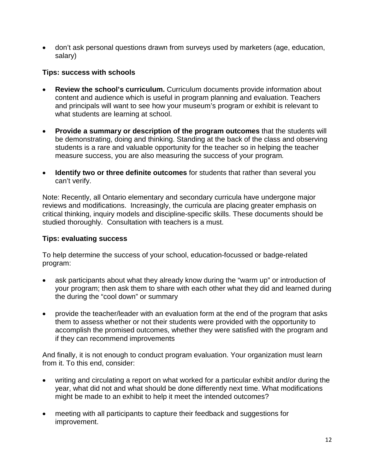• don't ask personal questions drawn from surveys used by marketers (age, education, salary)

#### **Tips: success with schools**

- **Review the school's curriculum.** Curriculum documents provide information about content and audience which is useful in program planning and evaluation. Teachers and principals will want to see how your museum's program or exhibit is relevant to what students are learning at school.
- **Provide a summary or description of the program outcomes** that the students will be demonstrating, doing and thinking. Standing at the back of the class and observing students is a rare and valuable opportunity for the teacher so in helping the teacher measure success, you are also measuring the success of your program*.*
- **Identify two or three definite outcomes** for students that rather than several you can't verify.

Note: Recently, all Ontario elementary and secondary curricula have undergone major reviews and modifications. Increasingly, the curricula are placing greater emphasis on critical thinking, inquiry models and discipline-specific skills. These documents should be studied thoroughly. Consultation with teachers is a must.

#### **Tips: evaluating success**

To help determine the success of your school, education-focussed or badge-related program:

- ask participants about what they already know during the "warm up" or introduction of your program; then ask them to share with each other what they did and learned during the during the "cool down" or summary
- provide the teacher/leader with an evaluation form at the end of the program that asks them to assess whether or not their students were provided with the opportunity to accomplish the promised outcomes, whether they were satisfied with the program and if they can recommend improvements

And finally, it is not enough to conduct program evaluation. Your organization must learn from it. To this end, consider:

- writing and circulating a report on what worked for a particular exhibit and/or during the year, what did not and what should be done differently next time. What modifications might be made to an exhibit to help it meet the intended outcomes?
- meeting with all participants to capture their feedback and suggestions for improvement.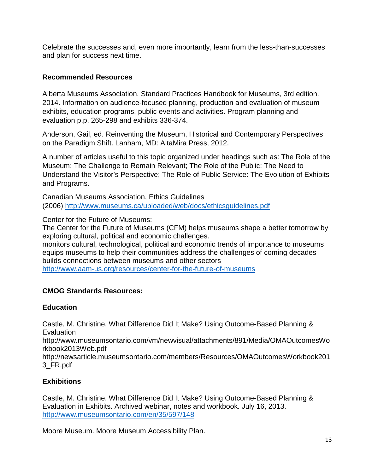Celebrate the successes and, even more importantly, learn from the less-than-successes and plan for success next time.

### **Recommended Resources**

Alberta Museums Association. Standard Practices Handbook for Museums, 3rd edition. 2014. Information on audience-focused planning, production and evaluation of museum exhibits, education programs, public events and activities. Program planning and evaluation p.p. 265-298 and exhibits 336-374.

Anderson, Gail, ed. Reinventing the Museum, Historical and Contemporary Perspectives on the Paradigm Shift. Lanham, MD: AltaMira Press, 2012.

A number of articles useful to this topic organized under headings such as: The Role of the Museum: The Challenge to Remain Relevant; The Role of the Public: The Need to Understand the Visitor's Perspective; The Role of Public Service: The Evolution of Exhibits and Programs.

Canadian Museums Association, Ethics Guidelines (2006)<http://www.museums.ca/uploaded/web/docs/ethicsguidelines.pdf>

Center for the Future of Museums:

The Center for the Future of Museums (CFM) helps museums shape a better tomorrow by exploring cultural, political and economic challenges.

monitors cultural, technological, political and economic trends of importance to museums equips museums to help their communities address the challenges of coming decades builds connections between museums and other sectors <http://www.aam-us.org/resources/center-for-the-future-of-museums>

#### **CMOG Standards Resources:**

#### **Education**

Castle, M. Christine. What Difference Did It Make? Using Outcome-Based Planning & **Evaluation** 

http://www.museumsontario.com/vm/newvisual/attachments/891/Media/OMAOutcomesWo rkbook2013Web.pdf

http://newsarticle.museumsontario.com/members/Resources/OMAOutcomesWorkbook201 3\_FR.pdf

### **Exhibitions**

Castle, M. Christine. What Difference Did It Make? Using Outcome-Based Planning & Evaluation in Exhibits. Archived webinar, notes and workbook. July 16, 2013. <http://www.museumsontario.com/en/35/597/148>

Moore Museum. Moore Museum Accessibility Plan.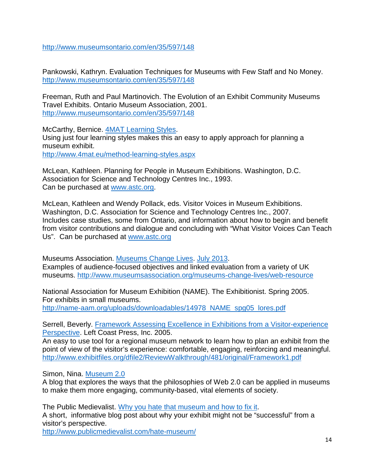<http://www.museumsontario.com/en/35/597/148>

Pankowski, Kathryn. Evaluation Techniques for Museums with Few Staff and No Money. <http://www.museumsontario.com/en/35/597/148>

Freeman, Ruth and Paul Martinovich. The Evolution of an Exhibit Community Museums Travel Exhibits. Ontario Museum Association, 2001. <http://www.museumsontario.com/en/35/597/148>

McCarthy, Bernice. [4MAT Learning Styles.](http://www.4mat.eu/method-learning-styles.aspx) Using just four learning styles makes this an easy to apply approach for planning a museum exhibit. <http://www.4mat.eu/method-learning-styles.aspx>

McLean, Kathleen. Planning for People in Museum Exhibitions. Washington, D.C. Association for Science and Technology Centres Inc., 1993. Can be purchased at [www.astc.org.](http://www.astc.org/)

McLean, Kathleen and Wendy Pollack, eds. Visitor Voices in Museum Exhibitions. Washington, D.C. Association for Science and Technology Centres Inc., 2007. Includes case studies, some from Ontario, and information about how to begin and benefit from visitor contributions and dialogue and concluding with "What Visitor Voices Can Teach Us". Can be purchased at [www.astc.org](http://www.astc.org/)

Museums Association. [Museums Change Lives.](http://www.museumsassociation.org/museums-change-lives/web-resource) [July 2013.](http://www.museumsassociation.org/museums-change-lives/web-resource%20July%202013) Examples of audience-focused objectives and linked evaluation from a variety of UK museums. <http://www.museumsassociation.org/museums-change-lives/web-resource>

National Association for Museum Exhibition (NAME). The Exhibitionist. Spring 2005. For exhibits in small museums. [http://name-aam.org/uploads/downloadables/14978\\_NAME\\_spg05\\_lores.pdf](http://name-aam.org/uploads/downloadables/14978_NAME_spg05_lores.pdf)

Serrell, Beverly. [Framework Assessing Excellence in Exhibitions from a Visitor-experience](http://www.exhibitfiles.org/dfile2/ReviewWalkthrough/481/original/Framework1.pdf)  [Perspective.](http://www.exhibitfiles.org/dfile2/ReviewWalkthrough/481/original/Framework1.pdf) Left Coast Press, Inc. 2005.

An easy to use tool for a regional museum network to learn how to plan an exhibit from the point of view of the visitor's experience: comfortable, engaging, reinforcing and meaningful. <http://www.exhibitfiles.org/dfile2/ReviewWalkthrough/481/original/Framework1.pdf>

Simon, Nina. [Museum 2.0](http://museumtwo.blogspot.ca/2006/12/what-is-museum-20.html)

A blog that explores the ways that the philosophies of Web 2.0 can be applied in museums to make them more engaging, community-based, vital elements of society.

The Public Medievalist. [Why you hate that museum and how to fix it.](http://www.publicmedievalist.com/hate-museum/) A short, informative blog post about why your exhibit might not be "successful" from a visitor's perspective.

<http://www.publicmedievalist.com/hate-museum/>